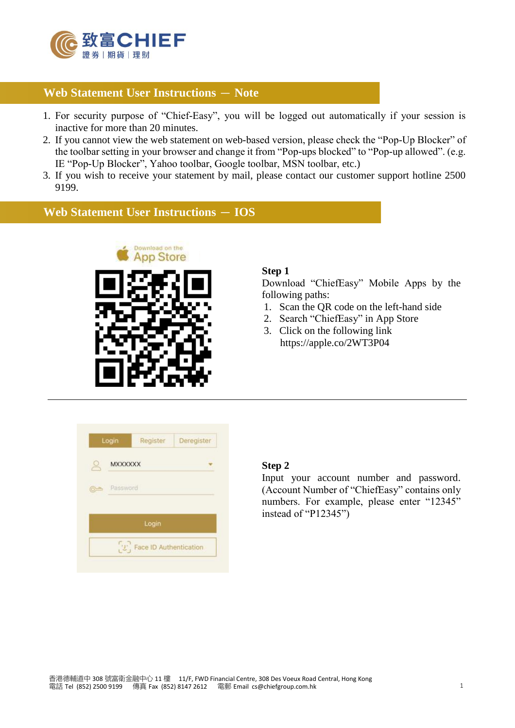

# **Web Statement User Instructions – Note**

- 1. For security purpose of "Chief-Easy", you will be logged out automatically if your session is inactive for more than 20 minutes.
- 2. If you cannot view the web statement on web-based version, please check the "Pop-Up Blocker" of the toolbar setting in your browser and change it from "Pop-ups blocked" to "Pop-up allowed". (e.g. IE "Pop-Up Blocker", Yahoo toolbar, Google toolbar, MSN toolbar, etc.)
- 3. If you wish to receive your statement by mail, please contact our customer support hotline 2500 9199.

# **Web Statement User Instructions - IOS**



### **Step 1**

Download "ChiefEasy" Mobile Apps by the following paths:

- 1. Scan the QR code on the left-hand side
- 2. Search "ChiefEasy" in App Store
- 3. Click on the following link https://apple.co/2WT3P04

| Login               | Register                                          | Deregister |
|---------------------|---------------------------------------------------|------------|
| <b>MXXXXXX</b>      |                                                   |            |
| Password<br>$6 - 4$ |                                                   |            |
|                     | Login                                             |            |
|                     | $\left[\mathcal{L}\right]$ Face ID Authentication |            |

#### **Step 2**

Input your account number and password. (Account Number of "ChiefEasy" contains only numbers. For example, please enter "12345" instead of "P12345")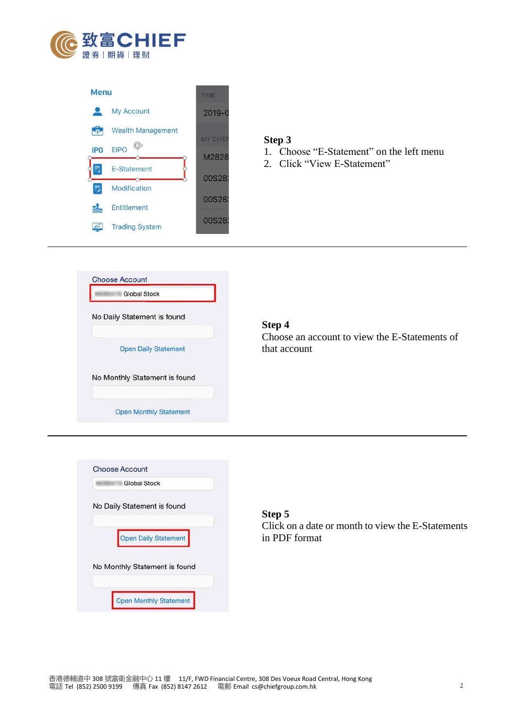



#### **Step 3**

- 1. Choose "E-Statement" on the left menu
- 2. Click "View E-Statement"



## **Step 4**

Choose an account to view the E-Statements of that account



**Step 5** Click on a date or month to view the E-Statements in PDF format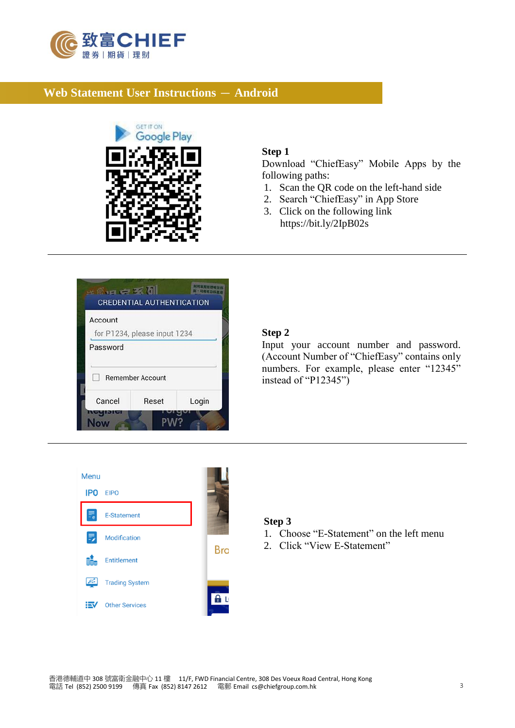

# **Web Statement User Instructions** - **Android**





## **Step 1**

Download "ChiefEasy" Mobile Apps by the following paths:

- 1. Scan the QR code on the left-hand side
- 2. Search "ChiefEasy" in App Store
- 3. Click on the following link https://bit.ly/2IpB02s

#### **Step 2**

Input your account number and password. (Account Number of "ChiefEasy" contains only numbers. For example, please enter "12345" instead of "P12345")



#### **Step 3**

- 1. Choose "E-Statement" on the left menu
- 2. Click "View E-Statement"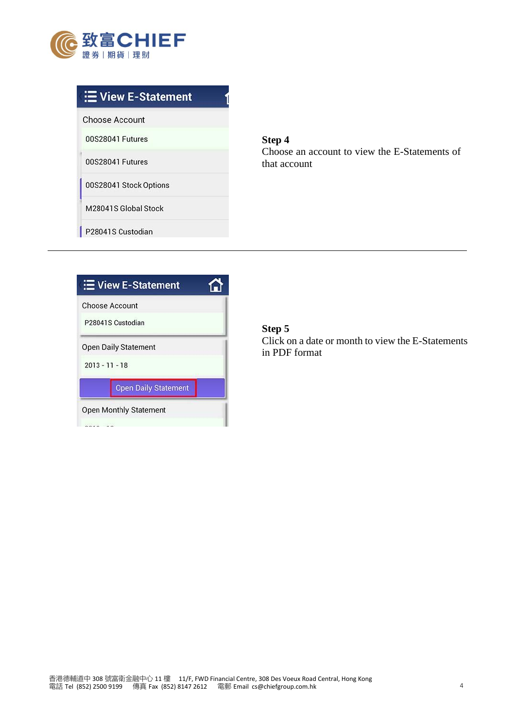

| E View E-Statement     |  |
|------------------------|--|
| <b>Choose Account</b>  |  |
| 00S28041 Futures       |  |
| 00S28041 Futures       |  |
| 00S28041 Stock Options |  |
| M28041S Global Stock   |  |
| P28041S Custodian      |  |

**Step 4** Choose an account to view the E-Statements of that account

| <b>E</b> View E-Statement   |  |
|-----------------------------|--|
| <b>Choose Account</b>       |  |
| P28041S Custodian           |  |
| <b>Open Daily Statement</b> |  |
| $2013 - 11 - 18$            |  |
| <b>Open Daily Statement</b> |  |
| Open Monthly Statement      |  |
|                             |  |

# **Step 5**

Click on a date or month to view the E-Statements in PDF format